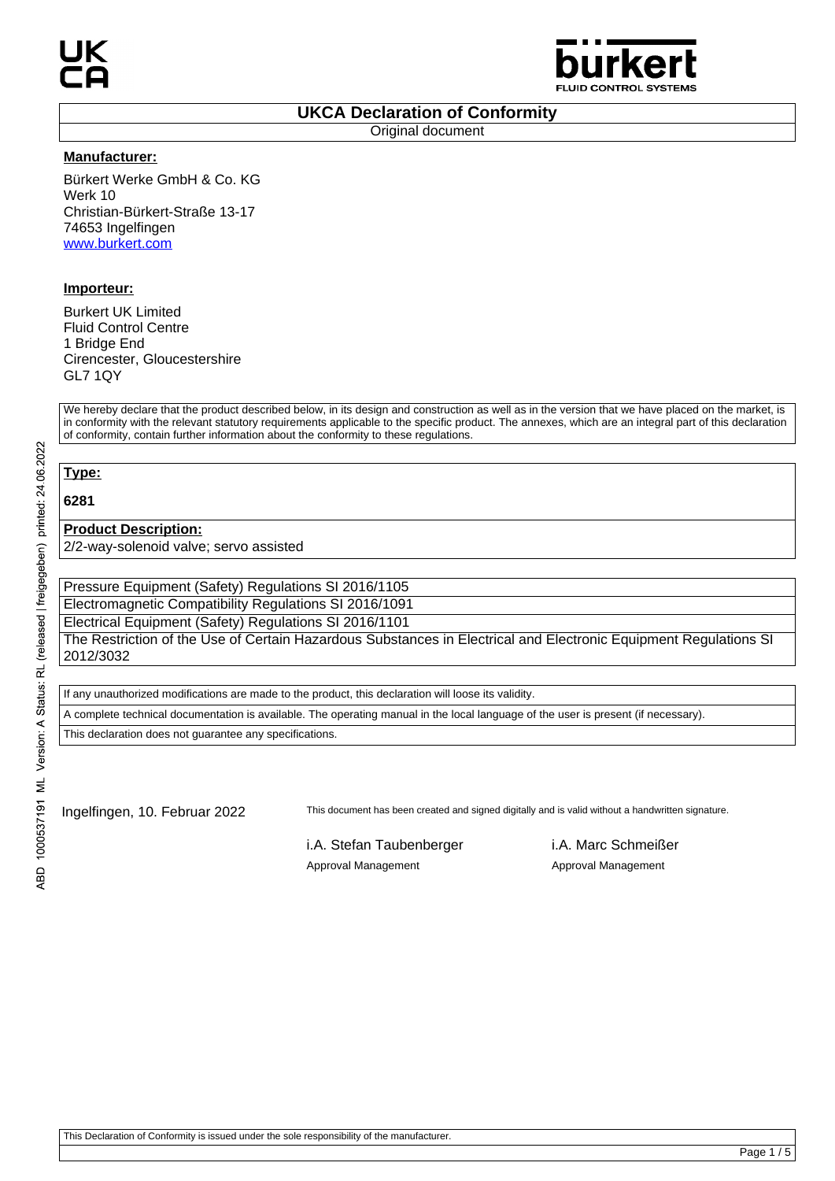

### **UKCA Declaration of Conformity**

Original document

### **Manufacturer:**

Bürkert Werke GmbH & Co. KG Werk 10 Christian-Bürkert-Straße 13-17 74653 Ingelfingen www.burkert.com

## **Importeur:**

Burkert UK Limited Fluid Control Centre 1 Bridge End Cirencester, Gloucestershire GL7 1QY

We hereby declare that the product described below, in its design and construction as well as in the version that we have placed on the market, is in conformity with the relevant statutory requirements applicable to the specific product. The annexes, which are an integral part of this declaration of conformity, contain further information about the conformity to these regulations.

# **Type:**

**6281**

### **Product Description:**

2/2-way-solenoid valve; servo assisted

Pressure Equipment (Safety) Regulations SI 2016/1105

Electromagnetic Compatibility Regulations SI 2016/1091

Electrical Equipment (Safety) Regulations SI 2016/1101 The Restriction of the Use of Certain Hazardous Substances in Electrical and Electronic Equipment Regulations SI 2012/3032

If any unauthorized modifications are made to the product, this declaration will loose its validity.

A complete technical documentation is available. The operating manual in the local language of the user is present (if necessary).

This declaration does not guarantee any specifications.

Ingelfingen, 10. Februar 2022 This document has been created and signed digitally and is valid without a handwritten signature.

i.A. Stefan Taubenberger i.A. Marc Schmeißer Approval Management **Approval Management**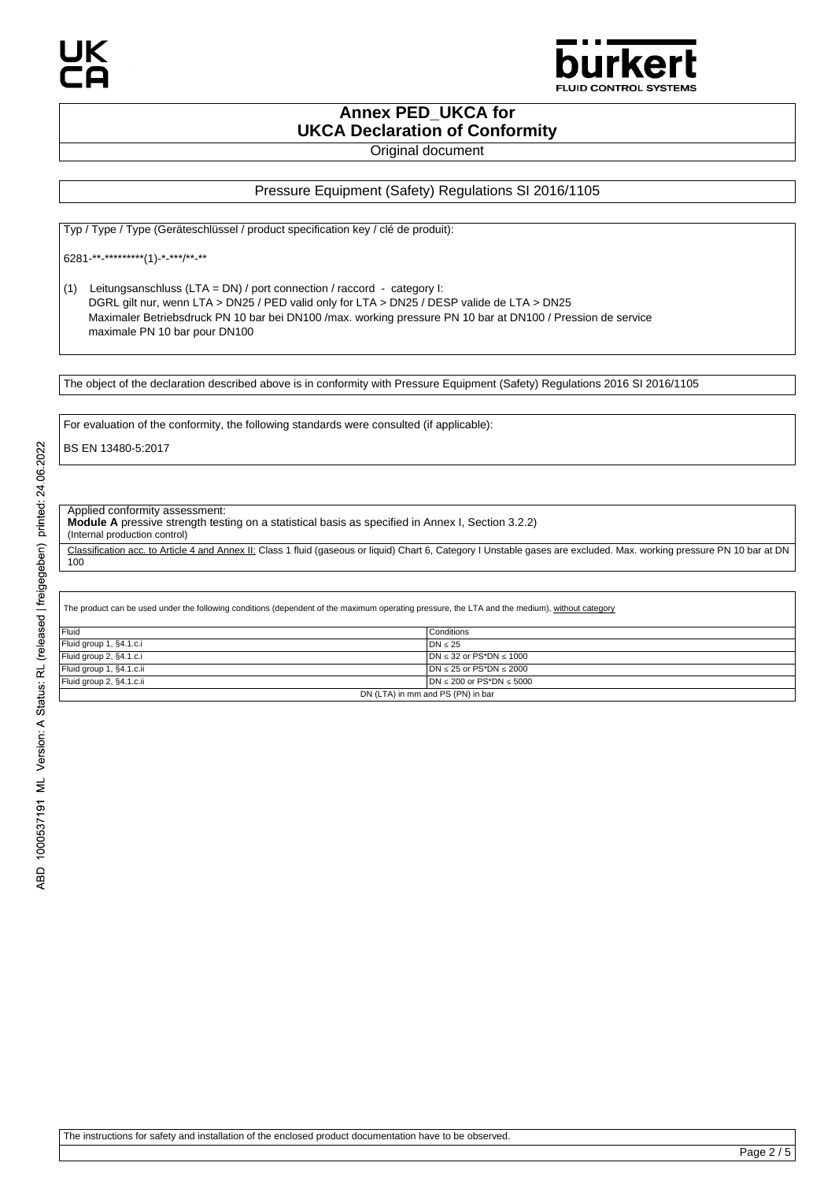

**Annex PED\_UKCA for UKCA Declaration of Conformity**

Original document

### Pressure Equipment (Safety) Regulations SI 2016/1105

Typ / Type / Type (Geräteschlüssel / product specification key / clé de produit):

6281-\*\*-\*\*\*\*\*\*\*\*\*(1)-\*-\*\*\*/\*\*-\*\*

(1) Leitungsanschluss (LTA = DN) / port connection / raccord - category I: DGRL gilt nur, wenn LTA > DN25 / PED valid only for LTA > DN25 / DESP valide de LTA > DN25 Maximaler Betriebsdruck PN 10 bar bei DN100 /max. working pressure PN 10 bar at DN100 / Pression de service maximale PN 10 bar pour DN100

The object of the declaration described above is in conformity with Pressure Equipment (Safety) Regulations 2016 SI 2016/1105

For evaluation of the conformity, the following standards were consulted (if applicable):

BS EN 13480-5:2017

#### Applied conformity assessment:

**Module A** pressive strength testing on a statistical basis as specified in Annex I, Section 3.2.2)

(Internal production control)

Classification acc. to Article 4 and Annex II: Class 1 fluid (gaseous or liquid) Chart 6, Category I Unstable gases are excluded. Max. working pressure PN 10 bar at DN 100

The product can be used under the following conditions (dependent of the maximum operating pressure, the LTA and the medium), without category

| Fluid                             | Conditions                        |
|-----------------------------------|-----------------------------------|
| Fluid group 1, §4.1.c.i           | $DN \leq 25$                      |
| Fluid group 2, §4.1.c.i           | $DN \leq 32$ or PS*DN $\leq 1000$ |
| Fluid group 1, §4.1.c.ii          | $DN \le 25$ or PS*DN $\le 2000$   |
| Fluid group 2, §4.1.c.ii          | $DN < 200$ or $PS^*DN < 5000$     |
| DN (LTA) in mm and PS (PN) in bar |                                   |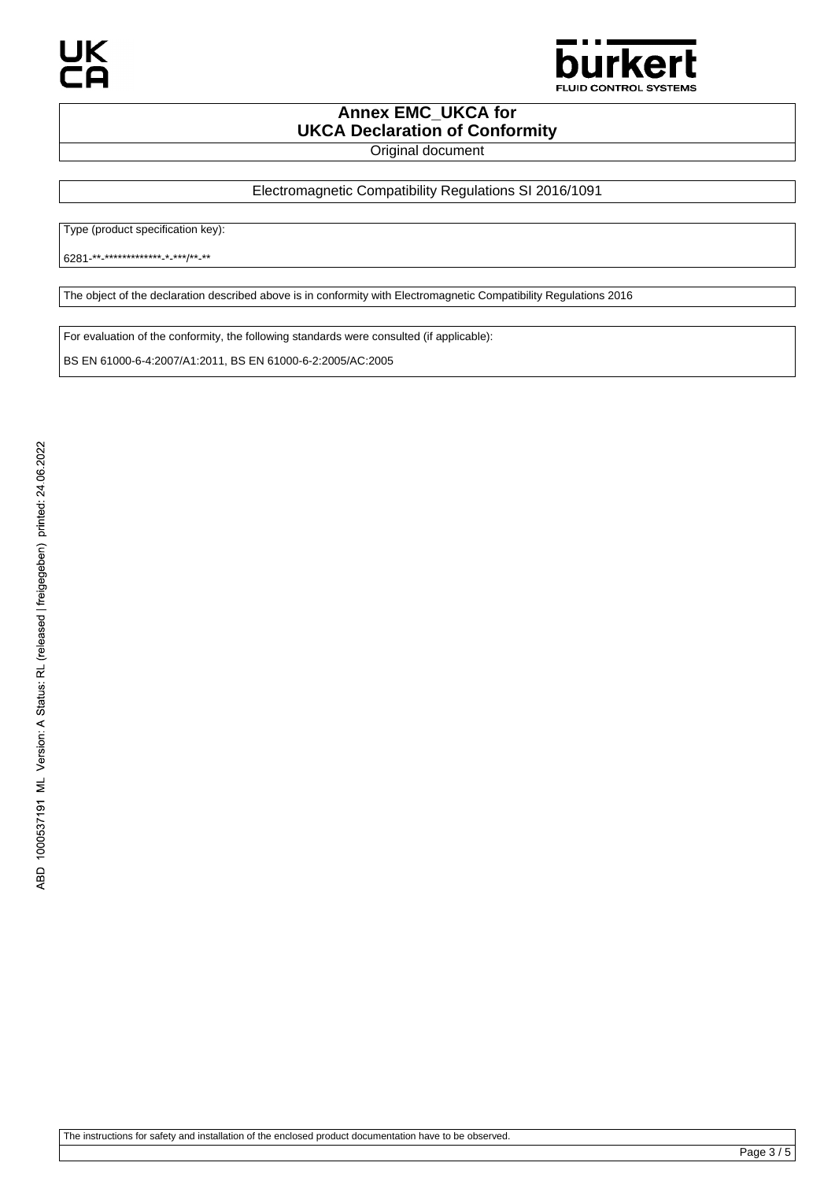

# **Annex EMC\_UKCA for UKCA Declaration of Conformity**

Original document

Electromagnetic Compatibility Regulations SI 2016/1091

Type (product specification key):

6281-\*\*-\*\*\*\*\*\*\*\*\*\*\*\*\*-\*-\*\*\*/\*\*-\*\*

The object of the declaration described above is in conformity with Electromagnetic Compatibility Regulations 2016

For evaluation of the conformity, the following standards were consulted (if applicable):

BS EN 61000-6-4:2007/A1:2011, BS EN 61000-6-2:2005/AC:2005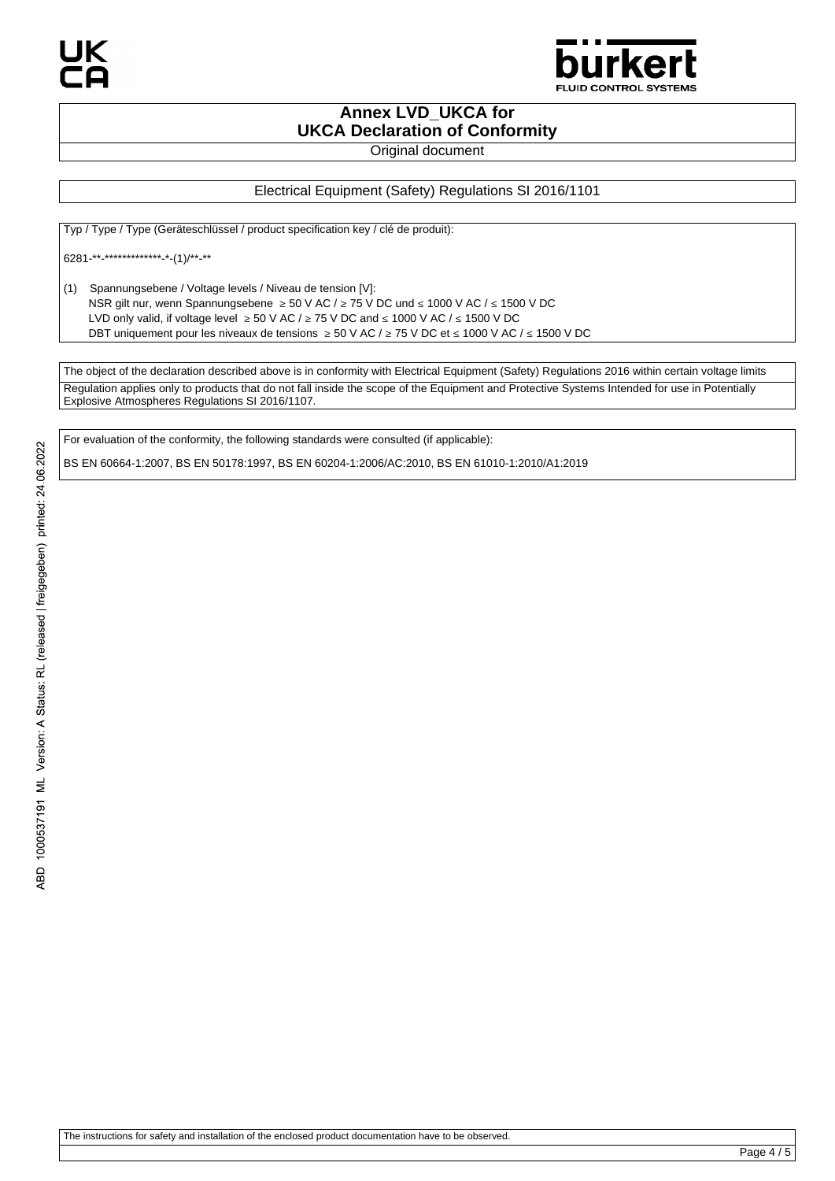

## **Annex LVD\_UKCA for UKCA Declaration of Conformity**

Original document

## Electrical Equipment (Safety) Regulations SI 2016/1101

Typ / Type / Type (Geräteschlüssel / product specification key / clé de produit):

6281-\*\*-\*\*\*\*\*\*\*\*\*\*\*\*\*-\*-(1)/\*\*-\*\*

(1) Spannungsebene / Voltage levels / Niveau de tension [V]: NSR gilt nur, wenn Spannungsebene ≥ 50 V AC / ≥ 75 V DC und ≤ 1000 V AC / ≤ 1500 V DC LVD only valid, if voltage level  $\geq 50$  V AC /  $\geq 75$  V DC and  $\leq 1000$  V AC /  $\leq 1500$  V DC DBT uniquement pour les niveaux de tensions ≥ 50 V AC / ≥ 75 V DC et ≤ 1000 V AC / ≤ 1500 V DC

The object of the declaration described above is in conformity with Electrical Equipment (Safety) Regulations 2016 within certain voltage limits Regulation applies only to products that do not fall inside the scope of the Equipment and Protective Systems Intended for use in Potentially Explosive Atmospheres Regulations SI 2016/1107.

For evaluation of the conformity, the following standards were consulted (if applicable):

BS EN 60664-1:2007, BS EN 50178:1997, BS EN 60204-1:2006/AC:2010, BS EN 61010-1:2010/A1:2019